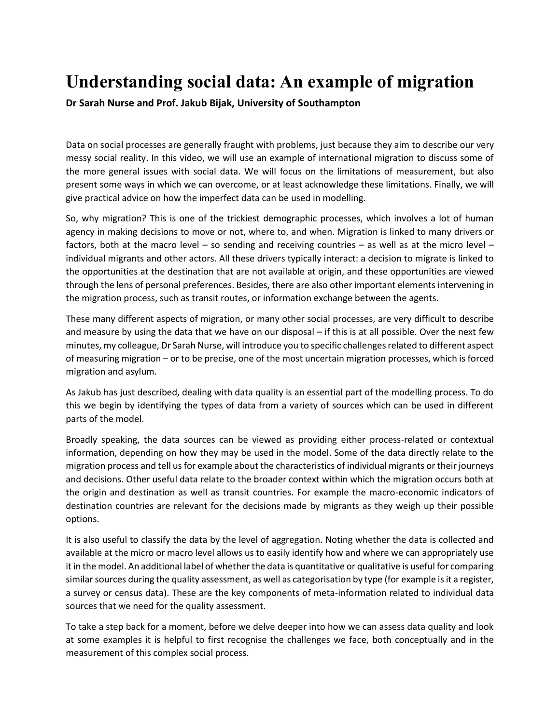## **Understanding social data: An example of migration**

**Dr Sarah Nurse and Prof. Jakub Bijak, University of Southampton** 

Data on social processes are generally fraught with problems, just because they aim to describe our very messy social reality. In this video, we will use an example of international migration to discuss some of the more general issues with social data. We will focus on the limitations of measurement, but also present some ways in which we can overcome, or at least acknowledge these limitations. Finally, we will give practical advice on how the imperfect data can be used in modelling.

So, why migration? This is one of the trickiest demographic processes, which involves a lot of human agency in making decisions to move or not, where to, and when. Migration is linked to many drivers or factors, both at the macro level – so sending and receiving countries – as well as at the micro level – individual migrants and other actors. All these drivers typically interact: a decision to migrate is linked to the opportunities at the destination that are not available at origin, and these opportunities are viewed through the lens of personal preferences. Besides, there are also other important elements intervening in the migration process, such as transit routes, or information exchange between the agents.

These many different aspects of migration, or many other social processes, are very difficult to describe and measure by using the data that we have on our disposal – if this is at all possible. Over the next few minutes, my colleague, Dr Sarah Nurse, will introduce you to specific challenges related to different aspect of measuring migration – or to be precise, one of the most uncertain migration processes, which is forced migration and asylum.

As Jakub has just described, dealing with data quality is an essential part of the modelling process. To do this we begin by identifying the types of data from a variety of sources which can be used in different parts of the model.

Broadly speaking, the data sources can be viewed as providing either process-related or contextual information, depending on how they may be used in the model. Some of the data directly relate to the migration process and tell us for example about the characteristics of individual migrants or their journeys and decisions. Other useful data relate to the broader context within which the migration occurs both at the origin and destination as well as transit countries. For example the macro-economic indicators of destination countries are relevant for the decisions made by migrants as they weigh up their possible options.

It is also useful to classify the data by the level of aggregation. Noting whether the data is collected and available at the micro or macro level allows us to easily identify how and where we can appropriately use it in the model. An additional label of whether the data is quantitative or qualitative is useful for comparing similar sources during the quality assessment, as well as categorisation by type (for example is it a register, a survey or census data). These are the key components of meta-information related to individual data sources that we need for the quality assessment.

To take a step back for a moment, before we delve deeper into how we can assess data quality and look at some examples it is helpful to first recognise the challenges we face, both conceptually and in the measurement of this complex social process.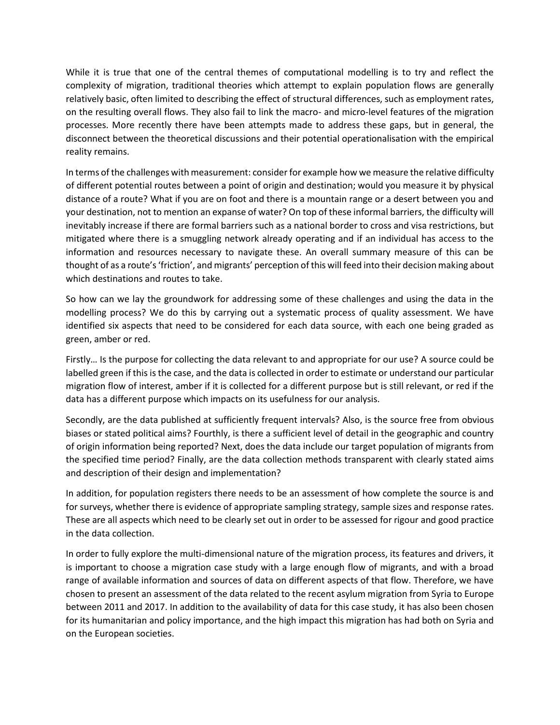While it is true that one of the central themes of computational modelling is to try and reflect the complexity of migration, traditional theories which attempt to explain population flows are generally relatively basic, often limited to describing the effect of structural differences, such as employment rates, on the resulting overall flows. They also fail to link the macro- and micro-level features of the migration processes. More recently there have been attempts made to address these gaps, but in general, the disconnect between the theoretical discussions and their potential operationalisation with the empirical reality remains.

In terms of the challenges with measurement: consider for example how we measure the relative difficulty of different potential routes between a point of origin and destination; would you measure it by physical distance of a route? What if you are on foot and there is a mountain range or a desert between you and your destination, not to mention an expanse of water? On top of these informal barriers, the difficulty will inevitably increase if there are formal barriers such as a national border to cross and visa restrictions, but mitigated where there is a smuggling network already operating and if an individual has access to the information and resources necessary to navigate these. An overall summary measure of this can be thought of as a route's 'friction', and migrants' perception of this will feed into their decision making about which destinations and routes to take.

So how can we lay the groundwork for addressing some of these challenges and using the data in the modelling process? We do this by carrying out a systematic process of quality assessment. We have identified six aspects that need to be considered for each data source, with each one being graded as green, amber or red.

Firstly… Is the purpose for collecting the data relevant to and appropriate for our use? A source could be labelled green if this is the case, and the data is collected in order to estimate or understand our particular migration flow of interest, amber if it is collected for a different purpose but is still relevant, or red if the data has a different purpose which impacts on its usefulness for our analysis.

Secondly, are the data published at sufficiently frequent intervals? Also, is the source free from obvious biases or stated political aims? Fourthly, is there a sufficient level of detail in the geographic and country of origin information being reported? Next, does the data include our target population of migrants from the specified time period? Finally, are the data collection methods transparent with clearly stated aims and description of their design and implementation?

In addition, for population registers there needs to be an assessment of how complete the source is and for surveys, whether there is evidence of appropriate sampling strategy, sample sizes and response rates. These are all aspects which need to be clearly set out in order to be assessed for rigour and good practice in the data collection.

In order to fully explore the multi-dimensional nature of the migration process, its features and drivers, it is important to choose a migration case study with a large enough flow of migrants, and with a broad range of available information and sources of data on different aspects of that flow. Therefore, we have chosen to present an assessment of the data related to the recent asylum migration from Syria to Europe between 2011 and 2017. In addition to the availability of data for this case study, it has also been chosen for its humanitarian and policy importance, and the high impact this migration has had both on Syria and on the European societies.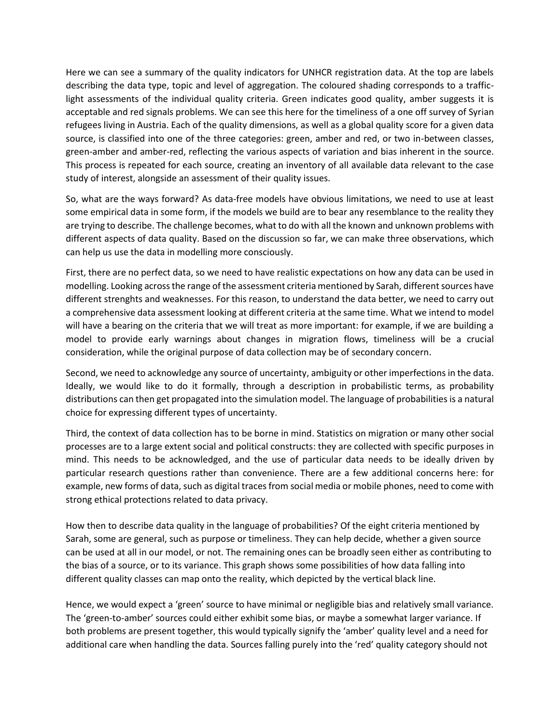Here we can see a summary of the quality indicators for UNHCR registration data. At the top are labels describing the data type, topic and level of aggregation. The coloured shading corresponds to a trafficlight assessments of the individual quality criteria. Green indicates good quality, amber suggests it is acceptable and red signals problems. We can see this here for the timeliness of a one off survey of Syrian refugees living in Austria. Each of the quality dimensions, as well as a global quality score for a given data source, is classified into one of the three categories: green, amber and red, or two in-between classes, green-amber and amber-red, reflecting the various aspects of variation and bias inherent in the source. This process is repeated for each source, creating an inventory of all available data relevant to the case study of interest, alongside an assessment of their quality issues.

So, what are the ways forward? As data-free models have obvious limitations, we need to use at least some empirical data in some form, if the models we build are to bear any resemblance to the reality they are trying to describe. The challenge becomes, what to do with all the known and unknown problems with different aspects of data quality. Based on the discussion so far, we can make three observations, which can help us use the data in modelling more consciously.

First, there are no perfect data, so we need to have realistic expectations on how any data can be used in modelling. Looking across the range of the assessment criteria mentioned by Sarah, different sources have different strenghts and weaknesses. For this reason, to understand the data better, we need to carry out a comprehensive data assessment looking at different criteria at the same time. What we intend to model will have a bearing on the criteria that we will treat as more important: for example, if we are building a model to provide early warnings about changes in migration flows, timeliness will be a crucial consideration, while the original purpose of data collection may be of secondary concern.

Second, we need to acknowledge any source of uncertainty, ambiguity or other imperfections in the data. Ideally, we would like to do it formally, through a description in probabilistic terms, as probability distributions can then get propagated into the simulation model. The language of probabilities is a natural choice for expressing different types of uncertainty.

Third, the context of data collection has to be borne in mind. Statistics on migration or many other social processes are to a large extent social and political constructs: they are collected with specific purposes in mind. This needs to be acknowledged, and the use of particular data needs to be ideally driven by particular research questions rather than convenience. There are a few additional concerns here: for example, new forms of data, such as digital traces from social media or mobile phones, need to come with strong ethical protections related to data privacy.

How then to describe data quality in the language of probabilities? Of the eight criteria mentioned by Sarah, some are general, such as purpose or timeliness. They can help decide, whether a given source can be used at all in our model, or not. The remaining ones can be broadly seen either as contributing to the bias of a source, or to its variance. This graph shows some possibilities of how data falling into different quality classes can map onto the reality, which depicted by the vertical black line.

Hence, we would expect a 'green' source to have minimal or negligible bias and relatively small variance. The 'green-to-amber' sources could either exhibit some bias, or maybe a somewhat larger variance. If both problems are present together, this would typically signify the 'amber' quality level and a need for additional care when handling the data. Sources falling purely into the 'red' quality category should not